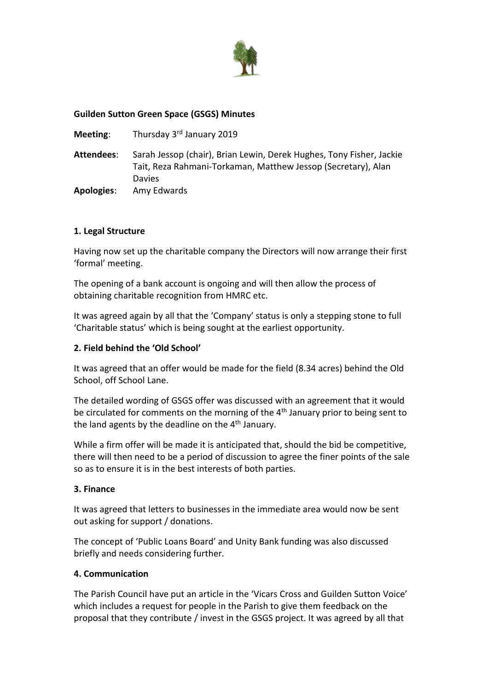

## **Guilden Sutton Green Space (GSGS) Minutes**

**Meeting:** Thursday 3<sup>rd</sup> January 2019

**Attendees**: Sarah Jessop (chair), Brian Lewin, Derek Hughes, Tony Fisher, Jackie Tait, Reza Rahmani-Torkaman, Matthew Jessop (Secretary), Alan Davies **Apologies**: Amy Edwards

## **1. Legal Structure**

Having now set up the charitable company the Directors will now arrange their first 'formal' meeting.

The opening of a bank account is ongoing and will then allow the process of obtaining charitable recognition from HMRC etc.

It was agreed again by all that the 'Company' status is only a stepping stone to full 'Charitable status' which is being sought at the earliest opportunity.

### **2. Field behind the 'Old School'**

It was agreed that an offer would be made for the field (8.34 acres) behind the Old School, off School Lane.

The detailed wording of GSGS offer was discussed with an agreement that it would be circulated for comments on the morning of the 4<sup>th</sup> January prior to being sent to the land agents by the deadline on the 4<sup>th</sup> January.

While a firm offer will be made it is anticipated that, should the bid be competitive, there will then need to be a period of discussion to agree the finer points of the sale so as to ensure it is in the best interests of both parties.

#### **3. Finance**

It was agreed that letters to businesses in the immediate area would now be sent out asking for support / donations.

The concept of 'Public Loans Board' and Unity Bank funding was also discussed briefly and needs considering further.

#### **4. Communication**

The Parish Council have put an article in the 'Vicars Cross and Guilden Sutton Voice' which includes a request for people in the Parish to give them feedback on the proposal that they contribute / invest in the GSGS project. It was agreed by all that